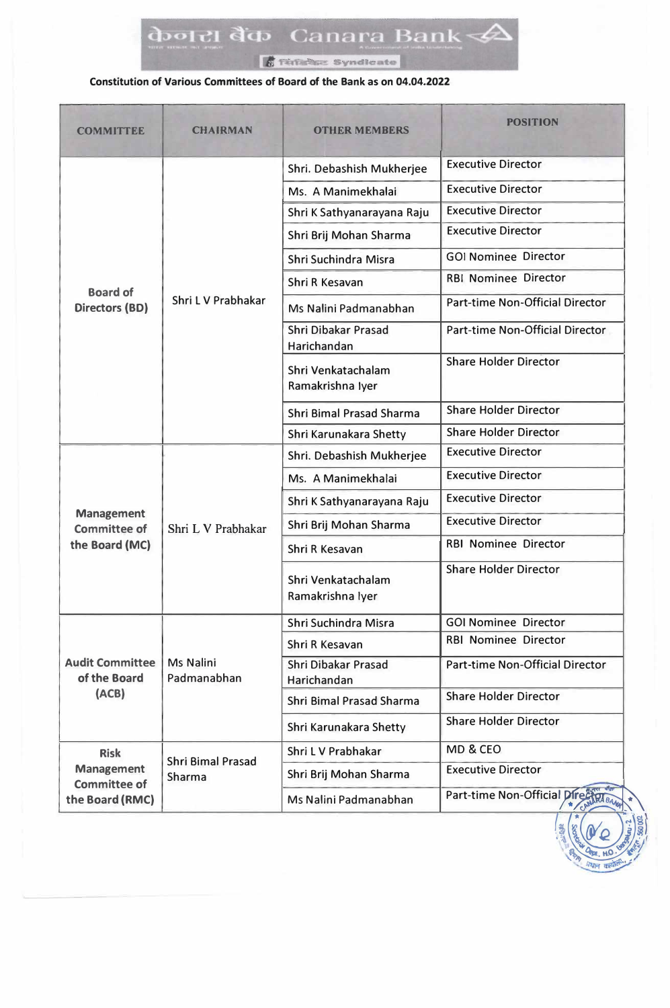**Termine Syndicate** 

#### **Constitution of Various Committees of Board of the Bank as on 04.04.2022**

| <b>COMMITTEE</b>                                                           | <b>CHAIRMAN</b>                    | <b>OTHER MEMBERS</b>                   | <b>POSITION</b>                        |
|----------------------------------------------------------------------------|------------------------------------|----------------------------------------|----------------------------------------|
| <b>Board of</b><br><b>Directors (BD)</b>                                   | Shri L V Prabhakar                 | Shri. Debashish Mukherjee              | <b>Executive Director</b>              |
|                                                                            |                                    | Ms. A Manimekhalai                     | <b>Executive Director</b>              |
|                                                                            |                                    | Shri K Sathyanarayana Raju             | <b>Executive Director</b>              |
|                                                                            |                                    | Shri Brij Mohan Sharma                 | <b>Executive Director</b>              |
|                                                                            |                                    | Shri Suchindra Misra                   | <b>GOI Nominee Director</b>            |
|                                                                            |                                    | Shri R Kesavan                         | <b>RBI Nominee Director</b>            |
|                                                                            |                                    | Ms Nalini Padmanabhan                  | <b>Part-time Non-Official Director</b> |
|                                                                            |                                    | Shri Dibakar Prasad<br>Harichandan     | <b>Part-time Non-Official Director</b> |
|                                                                            |                                    | Shri Venkatachalam<br>Ramakrishna Iyer | <b>Share Holder Director</b>           |
|                                                                            |                                    | <b>Shri Bimal Prasad Sharma</b>        | <b>Share Holder Director</b>           |
|                                                                            |                                    | Shri Karunakara Shetty                 | <b>Share Holder Director</b>           |
|                                                                            | Shri L V Prabhakar                 | Shri. Debashish Mukherjee              | <b>Executive Director</b>              |
| <b>Management</b><br><b>Committee of</b>                                   |                                    | Ms. A Manimekhalai                     | <b>Executive Director</b>              |
|                                                                            |                                    | Shri K Sathyanarayana Raju             | <b>Executive Director</b>              |
|                                                                            |                                    | Shri Brij Mohan Sharma                 | <b>Executive Director</b>              |
| the Board (MC)                                                             |                                    | Shri R Kesavan                         | <b>RBI Nominee Director</b>            |
|                                                                            |                                    | Shri Venkatachalam<br>Ramakrishna lyer | <b>Share Holder Director</b>           |
|                                                                            | Ms Nalini<br>Padmanabhan           | Shri Suchindra Misra                   | <b>GOI Nominee Director</b>            |
|                                                                            |                                    | Shri R Kesavan                         | <b>RBI Nominee Director</b>            |
| <b>Audit Committee</b><br>of the Board<br>(ACB)                            |                                    | Shri Dibakar Prasad<br>Harichandan     | Part-time Non-Official Director        |
|                                                                            |                                    | <b>Shri Bimal Prasad Sharma</b>        | <b>Share Holder Director</b>           |
|                                                                            |                                    | Shri Karunakara Shetty                 | <b>Share Holder Director</b>           |
| <b>Risk</b><br><b>Management</b><br><b>Committee of</b><br>the Board (RMC) | <b>Shri Bimal Prasad</b><br>Sharma | Shri L V Prabhakar                     | MD & CEO                               |
|                                                                            |                                    | Shri Brij Mohan Sharma                 | <b>Executive Director</b>              |
|                                                                            |                                    | Ms Nalini Padmanabhan                  | Part-time Non-Official Direct          |

! **B**<sub>2</sub> *A*<sub>20</sub>, HO. 8  $\frac{1}{2}$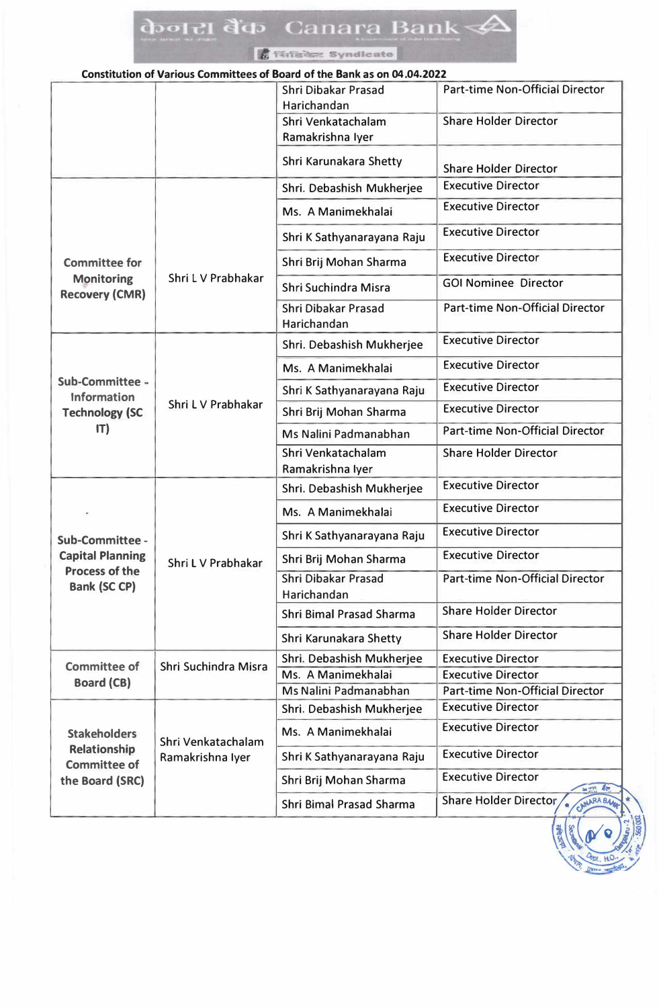## doolel d'a Canara Bank

|                                              |                                        | <b>A</b> Tenadez Syndicate                                               |                                        |
|----------------------------------------------|----------------------------------------|--------------------------------------------------------------------------|----------------------------------------|
|                                              |                                        | Constitution of Various Committees of Board of the Bank as on 04.04.2022 |                                        |
|                                              |                                        | Shri Dibakar Prasad<br>Harichandan                                       | Part-time Non-Official Director        |
|                                              |                                        | Shri Venkatachalam<br>Ramakrishna Iyer                                   | <b>Share Holder Director</b>           |
|                                              |                                        | Shri Karunakara Shetty                                                   | <b>Share Holder Director</b>           |
|                                              |                                        | Shri. Debashish Mukherjee                                                | <b>Executive Director</b>              |
|                                              |                                        | Ms. A Manimekhalai                                                       | <b>Executive Director</b>              |
|                                              | Shri L V Prabhakar                     | Shri K Sathyanarayana Raju                                               | <b>Executive Director</b>              |
| <b>Committee for</b>                         |                                        | Shri Brij Mohan Sharma                                                   | <b>Executive Director</b>              |
| <b>Monitoring</b><br><b>Recovery (CMR)</b>   |                                        | Shri Suchindra Misra                                                     | <b>GOI Nominee Director</b>            |
|                                              |                                        | Shri Dibakar Prasad<br>Harichandan                                       | <b>Part-time Non-Official Director</b> |
|                                              |                                        | Shri. Debashish Mukherjee                                                | <b>Executive Director</b>              |
|                                              |                                        | Ms. A Manimekhalai                                                       | <b>Executive Director</b>              |
| <b>Sub-Committee -</b><br><b>Information</b> |                                        | Shri K Sathyanarayana Raju                                               | <b>Executive Director</b>              |
| <b>Technology (SC</b>                        | Shri L V Prabhakar                     | Shri Brij Mohan Sharma                                                   | <b>Executive Director</b>              |
| IT)                                          |                                        | Ms Nalini Padmanabhan                                                    | <b>Part-time Non-Official Director</b> |
|                                              |                                        | Shri Venkatachalam<br>Ramakrishna Iyer                                   | <b>Share Holder Director</b>           |
|                                              |                                        | Shri. Debashish Mukherjee                                                | <b>Executive Director</b>              |
|                                              |                                        | Ms. A Manimekhalai                                                       | <b>Executive Director</b>              |
| Sub-Committee -                              |                                        | Shri K Sathyanarayana Raju                                               | <b>Executive Director</b>              |
| <b>Capital Planning</b>                      | Shri L V Prabhakar                     | Shri Brij Mohan Sharma                                                   | <b>Executive Director</b>              |
| <b>Process of the</b><br><b>Bank (SC CP)</b> |                                        | Shri Dibakar Prasad<br>Harichandan                                       | Part-time Non-Official Director        |
|                                              |                                        | Shri Bimal Prasad Sharma                                                 | <b>Share Holder Director</b>           |
|                                              |                                        | Shri Karunakara Shetty                                                   | <b>Share Holder Director</b>           |
| <b>Committee of</b><br><b>Board (CB)</b>     | Shri Suchindra Misra                   | Shri. Debashish Mukherjee                                                | <b>Executive Director</b>              |
|                                              |                                        | Ms. A Manimekhalai                                                       | <b>Executive Director</b>              |
|                                              |                                        | Ms Nalini Padmanabhan                                                    | <b>Part-time Non-Official Director</b> |
|                                              | Shri Venkatachalam<br>Ramakrishna Iyer | Shri. Debashish Mukherjee                                                | <b>Executive Director</b>              |
| <b>Stakeholders</b>                          |                                        | Ms. A Manimekhalai                                                       | <b>Executive Director</b>              |
| <b>Relationship</b><br><b>Committee of</b>   |                                        | Shri K Sathyanarayana Raju                                               | <b>Executive Director</b>              |
| the Board (SRC)                              |                                        | Shri Brij Mohan Sharma                                                   | <b>Executive Director</b><br>$2\pi$    |

Shri Bimal Prasad Sharma

Share Holder Director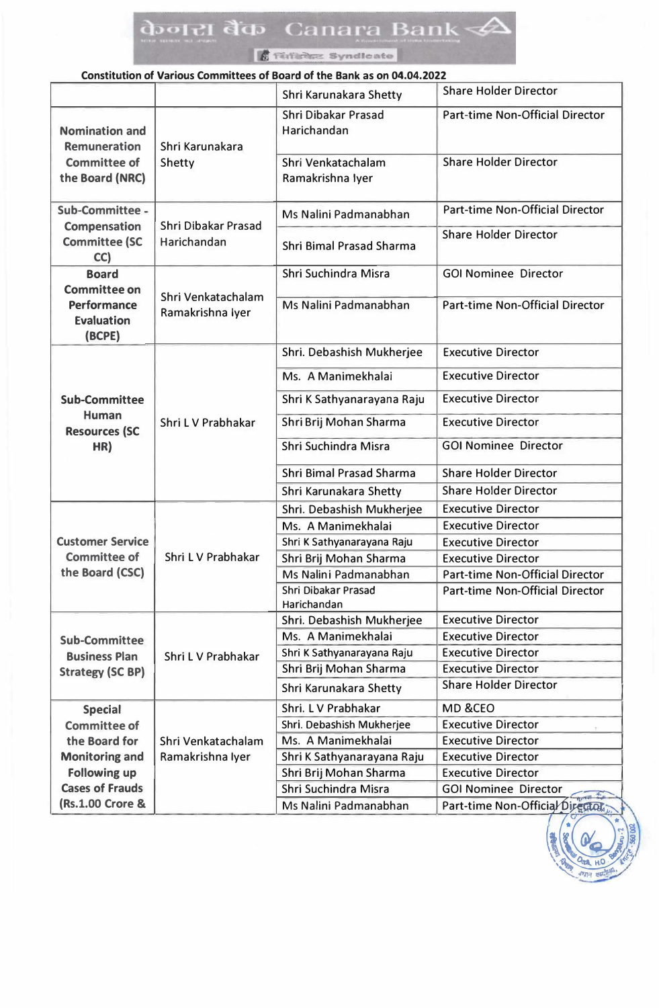### केजरा बैंक Canara Bank <del>√</del>

*STEIBRE* Syndicate

#### **Constitution of Various Committees of Board of the Bank as on 04.04.2022**

|                                                                                          |                                        | Shri Karunakara Shetty                 | <b>Share Holder Director</b>           |
|------------------------------------------------------------------------------------------|----------------------------------------|----------------------------------------|----------------------------------------|
| <b>Nomination and</b><br><b>Remuneration</b><br><b>Committee of</b><br>the Board (NRC)   | Shri Karunakara<br>Shetty              | Shri Dibakar Prasad<br>Harichandan     | <b>Part-time Non-Official Director</b> |
|                                                                                          |                                        | Shri Venkatachalam<br>Ramakrishna lyer | <b>Share Holder Director</b>           |
| Sub-Committee -                                                                          | Shri Dibakar Prasad<br>Harichandan     | Ms Nalini Padmanabhan                  | <b>Part-time Non-Official Director</b> |
| <b>Compensation</b><br><b>Committee (SC</b><br>CC)                                       |                                        | <b>Shri Bimal Prasad Sharma</b>        | <b>Share Holder Director</b>           |
| <b>Board</b><br><b>Committee on</b><br><b>Performance</b><br><b>Evaluation</b><br>(BCPE) | Shri Venkatachalam<br>Ramakrishna lyer | Shri Suchindra Misra                   | <b>GOI Nominee Director</b>            |
|                                                                                          |                                        | Ms Nalini Padmanabhan                  | <b>Part-time Non-Official Director</b> |
|                                                                                          |                                        | Shri. Debashish Mukherjee              | <b>Executive Director</b>              |
|                                                                                          |                                        | Ms. A Manimekhalai                     | <b>Executive Director</b>              |
| <b>Sub-Committee</b>                                                                     |                                        | Shri K Sathyanarayana Raju             | <b>Executive Director</b>              |
| Human                                                                                    | Shri L V Prabhakar                     | Shri Brij Mohan Sharma                 | <b>Executive Director</b>              |
| <b>Resources (SC</b><br>HR)                                                              |                                        | Shri Suchindra Misra                   | <b>GOI Nominee Director</b>            |
|                                                                                          |                                        | <b>Shri Bimal Prasad Sharma</b>        | <b>Share Holder Director</b>           |
|                                                                                          |                                        | Shri Karunakara Shetty                 | <b>Share Holder Director</b>           |
|                                                                                          |                                        | Shri. Debashish Mukherjee              | <b>Executive Director</b>              |
|                                                                                          |                                        | Ms. A Manimekhalai                     | <b>Executive Director</b>              |
| <b>Customer Service</b>                                                                  | Shri L V Prabhakar                     | Shri K Sathyanarayana Raju             | <b>Executive Director</b>              |
| <b>Committee of</b>                                                                      |                                        | Shri Brij Mohan Sharma                 | <b>Executive Director</b>              |
| the Board (CSC)                                                                          |                                        | Ms Nalini Padmanabhan                  | <b>Part-time Non-Official Director</b> |
|                                                                                          |                                        | Shri Dibakar Prasad<br>Harichandan     | <b>Part-time Non-Official Director</b> |
|                                                                                          | Shri L V Prabhakar                     | Shri. Debashish Mukherjee              | <b>Executive Director</b>              |
| <b>Sub-Committee</b>                                                                     |                                        | Ms. A Manimekhalai                     | <b>Executive Director</b>              |
| <b>Business Plan</b>                                                                     |                                        | Shri K Sathyanarayana Raju             | <b>Executive Director</b>              |
| <b>Strategy (SC BP)</b>                                                                  |                                        | Shri Brij Mohan Sharma                 | <b>Executive Director</b>              |
|                                                                                          |                                        | Shri Karunakara Shetty                 | <b>Share Holder Director</b>           |
| <b>Special</b>                                                                           |                                        | Shri. L V Prabhakar                    | MD &CEO                                |
| <b>Committee of</b>                                                                      |                                        | Shri. Debashish Mukherjee              | <b>Executive Director</b>              |
| the Board for                                                                            | Shri Venkatachalam                     | Ms. A Manimekhalai                     | <b>Executive Director</b>              |
| <b>Monitoring and</b>                                                                    | Ramakrishna lyer                       | Shri K Sathyanarayana Raju             | <b>Executive Director</b>              |
| <b>Following up</b>                                                                      |                                        | Shri Brij Mohan Sharma                 | <b>Executive Director</b>              |
| <b>Cases of Frauds</b>                                                                   |                                        | Shri Suchindra Misra                   | <b>GOI Nominee Director</b>            |
| (Rs.1.00 Crore &                                                                         |                                        | Ms Nalini Padmanabhan                  | Part-time Non-Official Director        |
|                                                                                          |                                        |                                        |                                        |